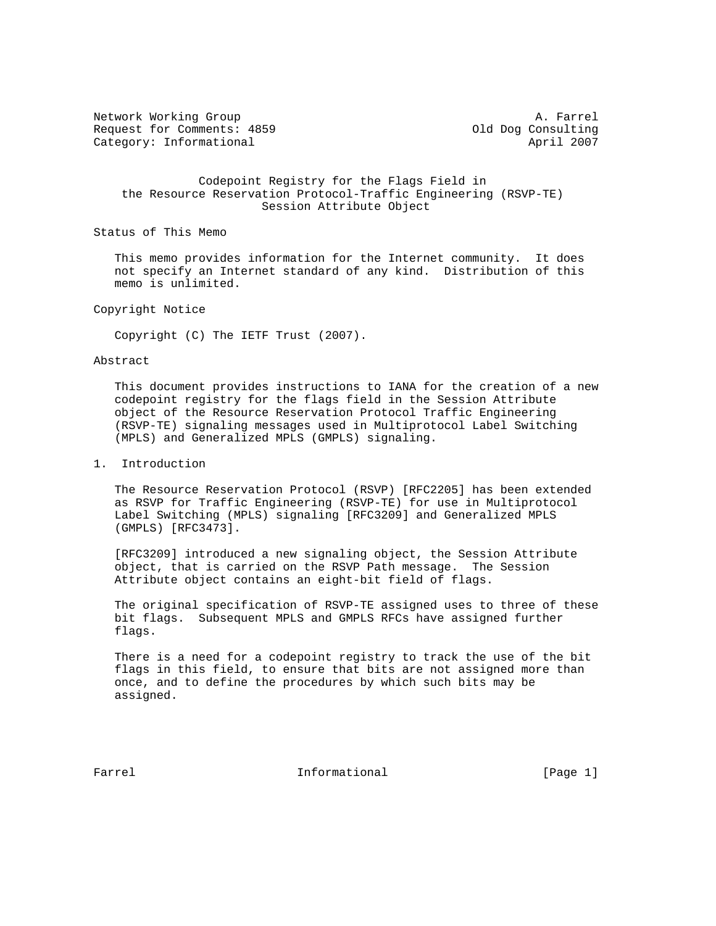Network Working Group and the set of the set of the set of the A. Farrel Request for Comments: 4859 (a) 01d Dog Consulting Category: Informational April 2007

 Codepoint Registry for the Flags Field in the Resource Reservation Protocol-Traffic Engineering (RSVP-TE) Session Attribute Object

Status of This Memo

 This memo provides information for the Internet community. It does not specify an Internet standard of any kind. Distribution of this memo is unlimited.

Copyright Notice

Copyright (C) The IETF Trust (2007).

## Abstract

 This document provides instructions to IANA for the creation of a new codepoint registry for the flags field in the Session Attribute object of the Resource Reservation Protocol Traffic Engineering (RSVP-TE) signaling messages used in Multiprotocol Label Switching (MPLS) and Generalized MPLS (GMPLS) signaling.

## 1. Introduction

 The Resource Reservation Protocol (RSVP) [RFC2205] has been extended as RSVP for Traffic Engineering (RSVP-TE) for use in Multiprotocol Label Switching (MPLS) signaling [RFC3209] and Generalized MPLS (GMPLS) [RFC3473].

 [RFC3209] introduced a new signaling object, the Session Attribute object, that is carried on the RSVP Path message. The Session Attribute object contains an eight-bit field of flags.

 The original specification of RSVP-TE assigned uses to three of these bit flags. Subsequent MPLS and GMPLS RFCs have assigned further flags.

 There is a need for a codepoint registry to track the use of the bit flags in this field, to ensure that bits are not assigned more than once, and to define the procedures by which such bits may be assigned.

Farrel **Informational Informational** [Page 1]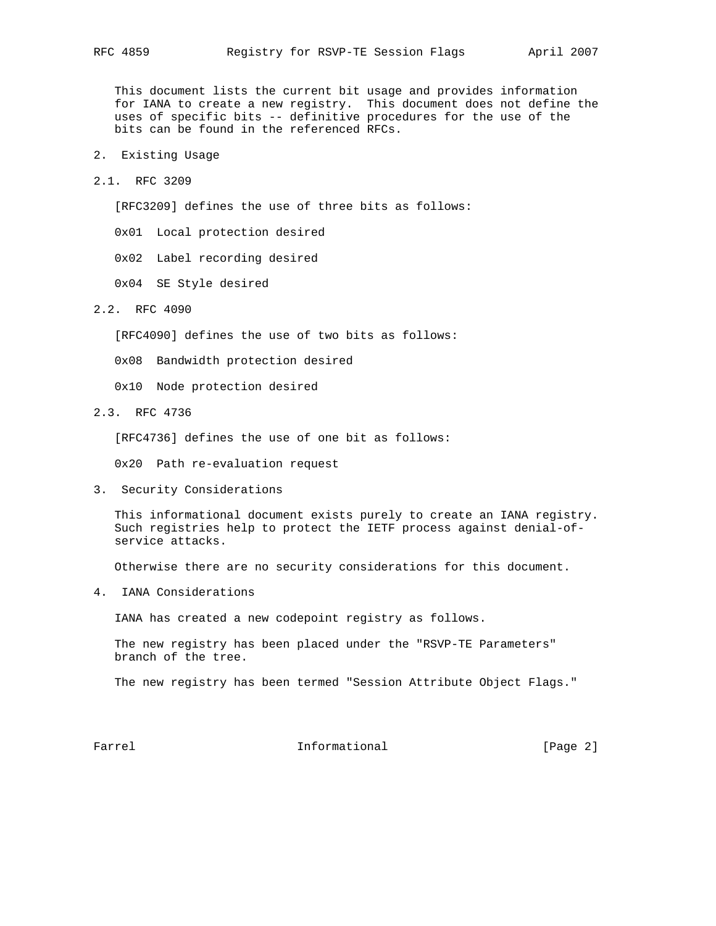This document lists the current bit usage and provides information for IANA to create a new registry. This document does not define the uses of specific bits -- definitive procedures for the use of the bits can be found in the referenced RFCs.

- 2. Existing Usage
- 2.1. RFC 3209

[RFC3209] defines the use of three bits as follows:

0x01 Local protection desired

0x02 Label recording desired

0x04 SE Style desired

2.2. RFC 4090

[RFC4090] defines the use of two bits as follows:

0x08 Bandwidth protection desired

0x10 Node protection desired

2.3. RFC 4736

[RFC4736] defines the use of one bit as follows:

0x20 Path re-evaluation request

3. Security Considerations

 This informational document exists purely to create an IANA registry. Such registries help to protect the IETF process against denial-of service attacks.

Otherwise there are no security considerations for this document.

4. IANA Considerations

IANA has created a new codepoint registry as follows.

 The new registry has been placed under the "RSVP-TE Parameters" branch of the tree.

The new registry has been termed "Session Attribute Object Flags."

Farrel **Informational Informational** [Page 2]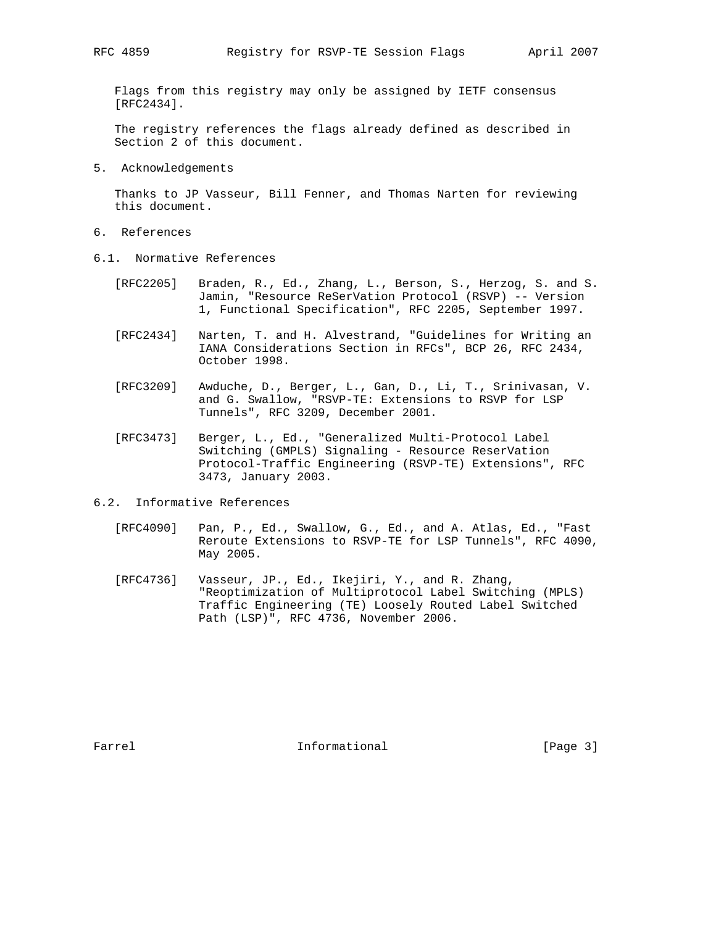Flags from this registry may only be assigned by IETF consensus [RFC2434].

 The registry references the flags already defined as described in Section 2 of this document.

5. Acknowledgements

 Thanks to JP Vasseur, Bill Fenner, and Thomas Narten for reviewing this document.

- 6. References
- 6.1. Normative References
	- [RFC2205] Braden, R., Ed., Zhang, L., Berson, S., Herzog, S. and S. Jamin, "Resource ReSerVation Protocol (RSVP) -- Version 1, Functional Specification", RFC 2205, September 1997.
	- [RFC2434] Narten, T. and H. Alvestrand, "Guidelines for Writing an IANA Considerations Section in RFCs", BCP 26, RFC 2434, October 1998.
	- [RFC3209] Awduche, D., Berger, L., Gan, D., Li, T., Srinivasan, V. and G. Swallow, "RSVP-TE: Extensions to RSVP for LSP Tunnels", RFC 3209, December 2001.
	- [RFC3473] Berger, L., Ed., "Generalized Multi-Protocol Label Switching (GMPLS) Signaling - Resource ReserVation Protocol-Traffic Engineering (RSVP-TE) Extensions", RFC 3473, January 2003.
- 6.2. Informative References
	- [RFC4090] Pan, P., Ed., Swallow, G., Ed., and A. Atlas, Ed., "Fast Reroute Extensions to RSVP-TE for LSP Tunnels", RFC 4090, May 2005.
	- [RFC4736] Vasseur, JP., Ed., Ikejiri, Y., and R. Zhang, "Reoptimization of Multiprotocol Label Switching (MPLS) Traffic Engineering (TE) Loosely Routed Label Switched Path (LSP)", RFC 4736, November 2006.

Farrel **Informational Informational** [Page 3]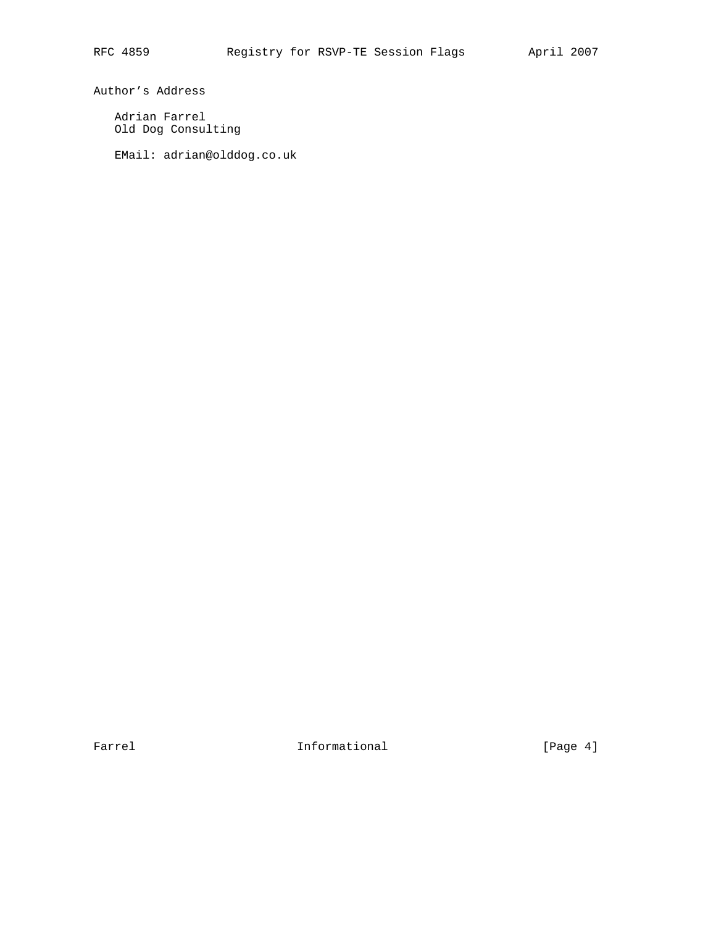Author's Address

 Adrian Farrel Old Dog Consulting

EMail: adrian@olddog.co.uk

Farrel **Informational Informational** [Page 4]